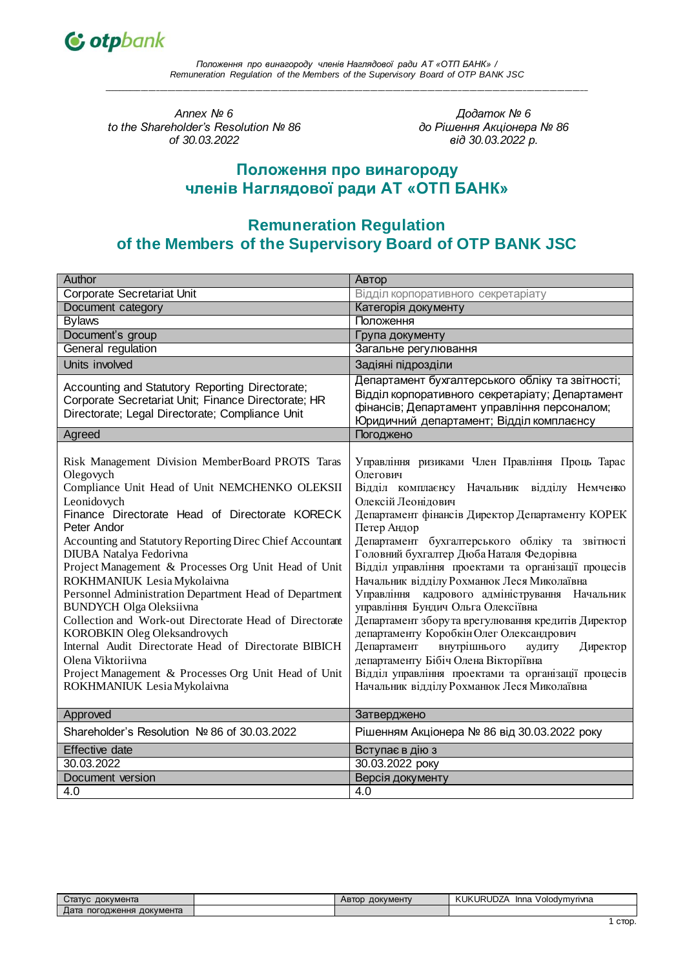

*Annex № 6 to the Shareholder's Resolution № 86 of 30.03.2022*

*Додаток № 6 до Рішення Акціонера № 86 від 30.03.2022 р.*

# **Положення про винагороду членів Наглядової ради АТ «ОТП БАНК»**

# **Remuneration Regulation of the Members of the Supervisory Board of OTP BANK JSC**

| Author                                                                                                                                                                                                                                                                                                                                                                                                                                                                                                                                                                                                                                                                                                                                     | Автор                                                                                                                                                                                                                                                                                                                                                                                                                                                                                                                                                                                                                                                                                                                                                                                                |
|--------------------------------------------------------------------------------------------------------------------------------------------------------------------------------------------------------------------------------------------------------------------------------------------------------------------------------------------------------------------------------------------------------------------------------------------------------------------------------------------------------------------------------------------------------------------------------------------------------------------------------------------------------------------------------------------------------------------------------------------|------------------------------------------------------------------------------------------------------------------------------------------------------------------------------------------------------------------------------------------------------------------------------------------------------------------------------------------------------------------------------------------------------------------------------------------------------------------------------------------------------------------------------------------------------------------------------------------------------------------------------------------------------------------------------------------------------------------------------------------------------------------------------------------------------|
| Corporate Secretariat Unit                                                                                                                                                                                                                                                                                                                                                                                                                                                                                                                                                                                                                                                                                                                 | Відділ корпоративного секретаріату                                                                                                                                                                                                                                                                                                                                                                                                                                                                                                                                                                                                                                                                                                                                                                   |
| Document category                                                                                                                                                                                                                                                                                                                                                                                                                                                                                                                                                                                                                                                                                                                          | Категорія документу                                                                                                                                                                                                                                                                                                                                                                                                                                                                                                                                                                                                                                                                                                                                                                                  |
| <b>Bylaws</b>                                                                                                                                                                                                                                                                                                                                                                                                                                                                                                                                                                                                                                                                                                                              | Положення                                                                                                                                                                                                                                                                                                                                                                                                                                                                                                                                                                                                                                                                                                                                                                                            |
| Document's group                                                                                                                                                                                                                                                                                                                                                                                                                                                                                                                                                                                                                                                                                                                           | Група документу                                                                                                                                                                                                                                                                                                                                                                                                                                                                                                                                                                                                                                                                                                                                                                                      |
| General regulation                                                                                                                                                                                                                                                                                                                                                                                                                                                                                                                                                                                                                                                                                                                         | Загальне регулювання                                                                                                                                                                                                                                                                                                                                                                                                                                                                                                                                                                                                                                                                                                                                                                                 |
| Units involved                                                                                                                                                                                                                                                                                                                                                                                                                                                                                                                                                                                                                                                                                                                             | Задіяні підрозділи                                                                                                                                                                                                                                                                                                                                                                                                                                                                                                                                                                                                                                                                                                                                                                                   |
| Accounting and Statutory Reporting Directorate;<br>Corporate Secretariat Unit; Finance Directorate; HR<br>Directorate; Legal Directorate; Compliance Unit                                                                                                                                                                                                                                                                                                                                                                                                                                                                                                                                                                                  | Департамент бухгалтерського обліку та звітності;<br>Відділ корпоративного секретаріату; Департамент<br>фінансів; Департамент управління персоналом;<br>Юридичний департамент; Відділ комплаєнсу                                                                                                                                                                                                                                                                                                                                                                                                                                                                                                                                                                                                      |
| Agreed                                                                                                                                                                                                                                                                                                                                                                                                                                                                                                                                                                                                                                                                                                                                     | Погоджено                                                                                                                                                                                                                                                                                                                                                                                                                                                                                                                                                                                                                                                                                                                                                                                            |
| Risk Management Division MemberBoard PROTS Taras<br>Olegovych<br>Compliance Unit Head of Unit NEMCHENKO OLEKSII<br>Leonidovych<br>Finance Directorate Head of Directorate KORECK<br>Peter Andor<br>Accounting and Statutory Reporting Direc Chief Accountant<br>DIUBA Natalya Fedorivna<br>Project Management & Processes Org Unit Head of Unit<br>ROKHMANIUK Lesia Mykolaivna<br>Personnel Administration Department Head of Department<br><b>BUNDYCH Olga Oleksiivna</b><br>Collection and Work-out Directorate Head of Directorate<br>KOROBKIN Oleg Oleksandrovych<br>Internal Audit Directorate Head of Directorate BIBICH<br>Olena Viktoriivna<br>Project Management & Processes Org Unit Head of Unit<br>ROKHMANIUK Lesia Mykolaivna | Управління ризиками Член Правління Проць Тарас<br>Олегович<br>Відділ комплаєнсу Начальник відділу Немченко<br>Олексій Леонідович<br>Департамент фінансів Директор Департаменту КОРЕК<br>Петер Андор<br>Департамент бухгалтерського обліку та звітності<br>Головний бухгалтер Дюба Наталя Федорівна<br>Відділ управління проектами та організації процесів<br>Начальник відділу Рохманюк Леся Миколаївна<br>Управління кадрового адміністрування Начальник<br>управління Бундич Ольга Олексіївна<br>Департамент збору та врегулювання кредитів Директор<br>департаменту Коробкін Олег Олександрович<br>Департамент<br>внутрішнього<br>аудиту<br>Директор<br>департаменту Бібіч Олена Вікторіївна<br>Відділ управління проектами та організації процесів<br>Начальник відділу Рохманюк Леся Миколаївна |
| Approved                                                                                                                                                                                                                                                                                                                                                                                                                                                                                                                                                                                                                                                                                                                                   | Затверджено                                                                                                                                                                                                                                                                                                                                                                                                                                                                                                                                                                                                                                                                                                                                                                                          |
| Shareholder's Resolution Nº 86 of 30.03.2022                                                                                                                                                                                                                                                                                                                                                                                                                                                                                                                                                                                                                                                                                               | Рішенням Акціонера № 86 від 30.03.2022 року                                                                                                                                                                                                                                                                                                                                                                                                                                                                                                                                                                                                                                                                                                                                                          |
| Effective date                                                                                                                                                                                                                                                                                                                                                                                                                                                                                                                                                                                                                                                                                                                             | Вступає в дію з                                                                                                                                                                                                                                                                                                                                                                                                                                                                                                                                                                                                                                                                                                                                                                                      |
| 30.03.2022                                                                                                                                                                                                                                                                                                                                                                                                                                                                                                                                                                                                                                                                                                                                 | 30.03.2022 року                                                                                                                                                                                                                                                                                                                                                                                                                                                                                                                                                                                                                                                                                                                                                                                      |
| Document version                                                                                                                                                                                                                                                                                                                                                                                                                                                                                                                                                                                                                                                                                                                           | Версія документу                                                                                                                                                                                                                                                                                                                                                                                                                                                                                                                                                                                                                                                                                                                                                                                     |
| 4.0                                                                                                                                                                                                                                                                                                                                                                                                                                                                                                                                                                                                                                                                                                                                        | 4.0                                                                                                                                                                                                                                                                                                                                                                                                                                                                                                                                                                                                                                                                                                                                                                                                  |

| документа<br>$\mathsf{J}$ Tatyr | <b>ДОКУМЕНТУ</b><br>Abtod | URUDZA.<br>KUK'<br>√olodymyrivna<br>Inna |
|---------------------------------|---------------------------|------------------------------------------|
| документа<br>⊔ата<br>погодження |                           |                                          |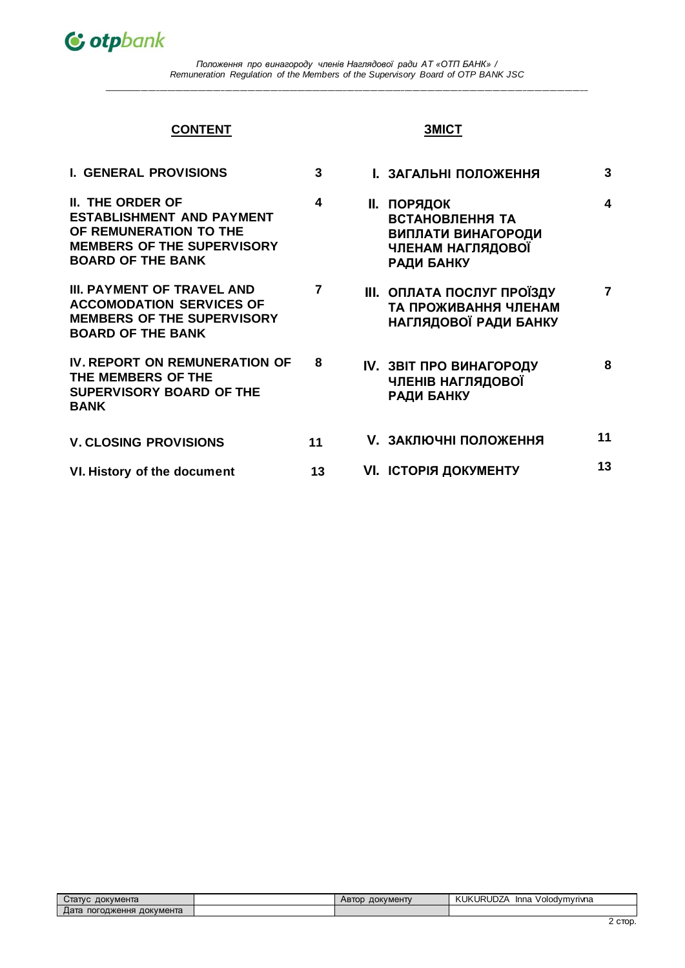

# **CONTENT**

# **ЗМІСТ**

| <b>I. GENERAL PROVISIONS</b>                                                                                                                    | 3  | <b>І. ЗАГАЛЬНІ ПОЛОЖЕННЯ</b>                                                                                 | 3  |
|-------------------------------------------------------------------------------------------------------------------------------------------------|----|--------------------------------------------------------------------------------------------------------------|----|
| II. THE ORDER OF<br><b>ESTABLISHMENT AND PAYMENT</b><br>OF REMUNERATION TO THE<br><b>MEMBERS OF THE SUPERVISORY</b><br><b>BOARD OF THE BANK</b> | 4  | <b>II. ПОРЯДОК</b><br><b>ВСТАНОВЛЕННЯ ТА</b><br>ВИПЛАТИ ВИНАГОРОДИ<br>ЧЛЕНАМ НАГЛЯДОВОЇ<br><b>РАДИ БАНКУ</b> | 4  |
| III. PAYMENT OF TRAVEL AND<br><b>ACCOMODATION SERVICES OF</b><br><b>MEMBERS OF THE SUPERVISORY</b><br><b>BOARD OF THE BANK</b>                  | 7  | <b>III. ОПЛАТА ПОСЛУГ ПРОЇЗДУ</b><br>ТА ПРОЖИВАННЯ ЧЛЕНАМ<br>НАГЛЯДОВОЇ РАДИ БАНКУ                           | 7  |
| <b>IV. REPORT ON REMUNERATION OF</b><br>THE MEMBERS OF THE<br><b>SUPERVISORY BOARD OF THE</b><br><b>BANK</b>                                    | 8  | <b>IV. ЗВІТ ПРО ВИНАГОРОДУ</b><br>ЧЛЕНІВ НАГЛЯДОВОЇ<br><b>РАДИ БАНКУ</b>                                     | 8  |
| <b>V. CLOSING PROVISIONS</b>                                                                                                                    | 11 | <b>V. ЗАКЛЮЧНІ ПОЛОЖЕННЯ</b>                                                                                 | 11 |
| VI. History of the document                                                                                                                     | 13 | VI. ICTOPIЯ ДОКУМЕНТУ                                                                                        | 13 |

| Статус<br>документа             | ДОКУМЕНТУ<br><b>ABIOL</b> | <b>JURUDZA</b><br>KUKI<br>/olodvmvrivna<br>Inna |
|---------------------------------|---------------------------|-------------------------------------------------|
| документа<br>погодження<br>цата |                           |                                                 |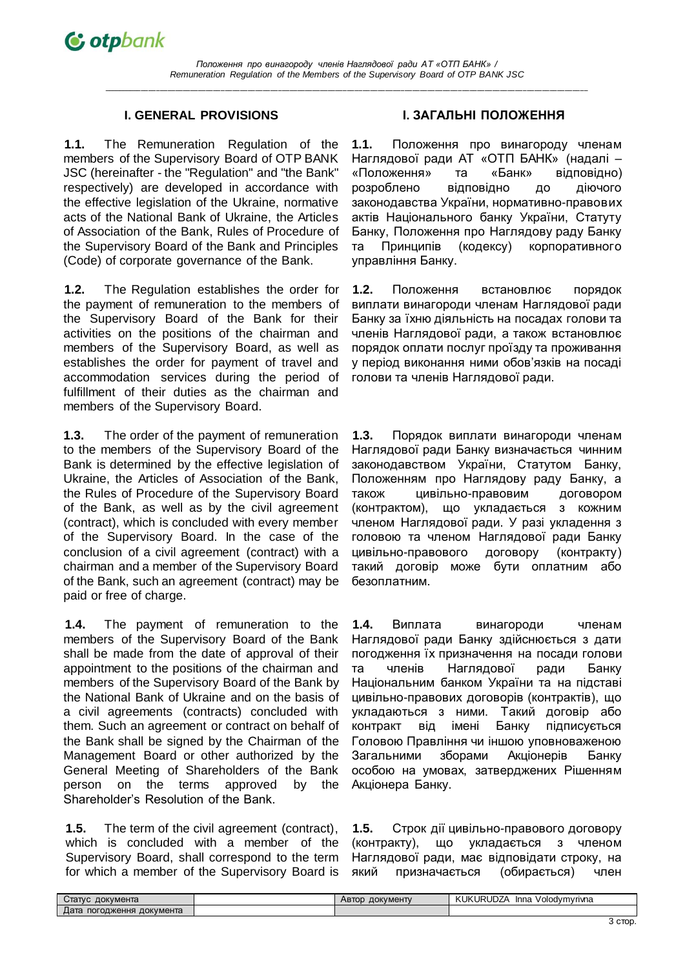**1.1.** The Remuneration Regulation of the members of the Supervisory Board of OTP BANK JSC (hereinafter - the "Regulation" and "the Bank" respectively) are developed in accordance with the effective legislation of the Ukraine, normative acts of the National Bank of Ukraine, the Articles of Association of the Bank, Rules of Procedure of the Supervisory Board of the Bank and Principles (Code) of corporate governance of the Bank.

**1.2.** The Regulation establishes the order for the payment of remuneration to the members of the Supervisory Board of the Bank for their activities on the positions of the chairman and members of the Supervisory Board, as well as establishes the order for payment of travel and accommodation services during the period of fulfillment of their duties as the chairman and members of the Supervisory Board.

**1.3.** The order of the payment of remuneration to the members of the Supervisory Board of the Bank is determined by the effective legislation of Ukraine, the Articles of Association of the Bank, the Rules of Procedure of the Supervisory Board of the Bank, as well as by the civil agreement (contract), which is concluded with every member of the Supervisory Board. In the case of the conclusion of a civil agreement (contract) with a chairman and a member of the Supervisory Board of the Bank, such an agreement (contract) may be paid or free of charge.

**1.4.** The payment of remuneration to the members of the Supervisory Board of the Bank shall be made from the date of approval of their appointment to the positions of the chairman and members of the Supervisory Board of the Bank by the National Bank of Ukraine and on the basis of a civil agreements (contracts) concluded with them. Such an agreement or contract on behalf of the Bank shall be signed by the Chairman of the Management Board or other authorized by the General Meeting of Shareholders of the Bank person on the terms approved by the Shareholder's Resolution of the Bank.

**1.5.** The term of the civil agreement (contract), which is concluded with a member of the Supervisory Board, shall correspond to the term for which a member of the Supervisory Board is

# **I. GENERAL PROVISIONS І. ЗАГАЛЬНІ ПОЛОЖЕННЯ**

**1.1.** Положення про винагороду членам Наглядової ради АТ «ОТП БАНК» (надалі – «Положення» та «Банк» відповідно) розроблено відповідно до діючого законодавства України, нормативно-правових актів Національного банку України, Статуту Банку, Положення про Наглядову раду Банку та Принципів (кодексу) корпоративного управління Банку.

**1.2.** Положення встановлює порядок виплати винагороди членам Наглядової ради Банку за їхню діяльність на посадах голови та членів Наглядової ради, а також встановлює порядок оплати послуг проїзду та проживання у період виконання ними обов'язків на посаді голови та членів Наглядової ради.

**1.3.** Порядок виплати винагороди членам Наглядової ради Банку визначається чинним законодавством України, Статутом Банку, Положенням про Наглядову раду Банку, а також цивільно-правовим договором (контрактом), що укладається з кожним членом Наглядової ради. У разі укладення з головою та членом Наглядової ради Банку цивільно-правового договору (контракту) такий договір може бути оплатним або безоплатним.

**1.4.** Виплата винагороди членам Наглядової ради Банку здійснюється з дати погодження їх призначення на посади голови та членів Наглядової ради Банку Національним банком України та на підставі цивільно-правових договорів (контрактів), що укладаються з ними. Такий договір або контракт від імені Банку підписується Головою Правління чи іншою уповноваженою Загальними зборами Акціонерів Банку особою на умовах, затверджених Рішенням Акціонера Банку.

**1.5.** Строк дії цивільно-правового договору (контракту), що укладається з членом Наглядової ради, має відповідати строку, на який призначається (обирається) член

| ل∕⊤aπvc<br>документа            | <b>ДОКУМЕНТУ</b><br>ABJOD | <b>URUDZA</b><br>KUK<br>Volodymyrivna<br>Inna |
|---------------------------------|---------------------------|-----------------------------------------------|
| документа<br>Дата<br>погодження |                           |                                               |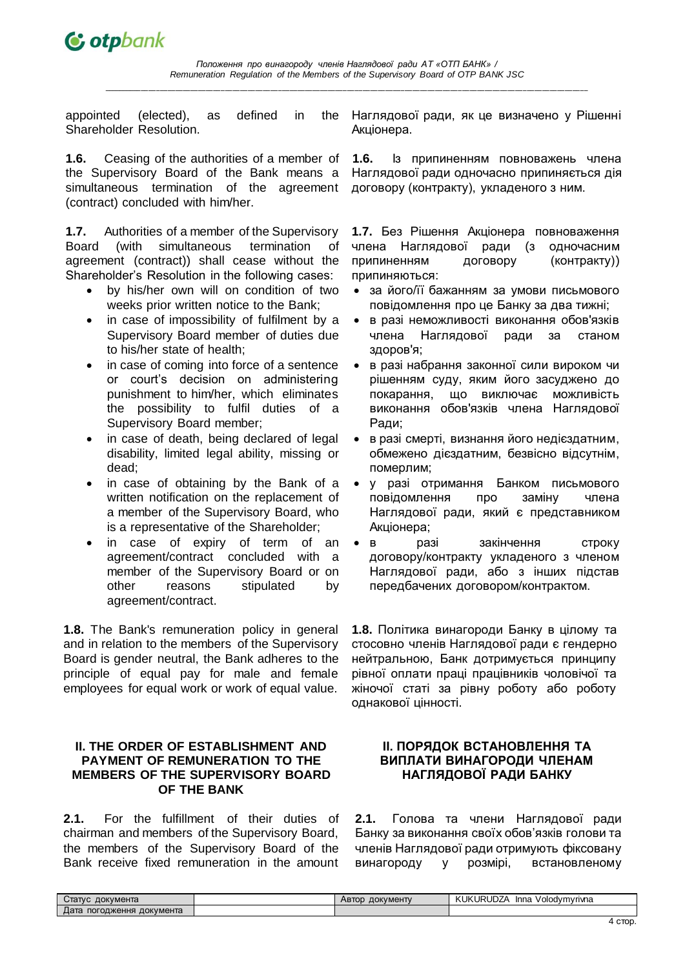

appointed (elected), as defined in the Shareholder Resolution.

**1.6.** Ceasing of the authorities of a member of the Supervisory Board of the Bank means a simultaneous termination of the agreement (contract) concluded with him/her.

**1.7.** Authorities of a member of the Supervisory Board (with simultaneous termination of agreement (contract)) shall cease without the Shareholder's Resolution in the following cases:

- by his/her own will on condition of two weeks prior written notice to the Bank;
- in case of impossibility of fulfilment by a Supervisory Board member of duties due to his/her state of health;
- in case of coming into force of a sentence or court's decision on administering punishment to him/her, which eliminates the possibility to fulfil duties of a Supervisory Board member;
- in case of death, being declared of legal disability, limited legal ability, missing or dead;
- in case of obtaining by the Bank of a written notification on the replacement of a member of the Supervisory Board, who is a representative of the Shareholder;
- in case of expiry of term of an agreement/contract concluded with a member of the Supervisory Board or on other reasons stipulated by agreement/contract.

**1.8.** The Bank's remuneration policy in general and in relation to the members of the Supervisory Board is gender neutral, the Bank adheres to the principle of equal pay for male and female employees for equal work or work of equal value.

# **II. THE ORDER OF ESTABLISHMENT AND PAYMENT OF REMUNERATION TO THE MEMBERS OF THE SUPERVISORY BOARD OF THE BANK**

**2.1.** For the fulfillment of their duties of chairman and members of the Supervisory Board, the members of the Supervisory Board of the Bank receive fixed remuneration in the amount

Наглядової ради, як це визначено у Рішенні Акціонера.

**1.6.** Із припиненням повноважень члена Наглядової ради одночасно припиняється дія договору (контракту), укладеного з ним.

**1.7.** Без Рішення Акціонера повноваження члена Наглядової ради (з одночасним припиненням договору (контракту)) припиняються:

- за його/її бажанням за умови письмового повідомлення про це Банку за два тижні;
- в разі неможливості виконання обов'язків члена Наглядової ради за станом здоров'я;
- в разі набрання законної сили вироком чи рішенням суду, яким його засуджено до покарання, що виключає можливість виконання обов'язків члена Наглядової Ради;
- в разі смерті, визнання його недієздатним, обмежено дієздатним, безвісно відсутнім, померлим;
- у разі отримання Банком письмового повідомлення про заміну члена Наглядової ради, який є представником Акціонера;
- в разі закінчення строку договору/контракту укладеного з членом Наглядової ради, або з інших підстав передбачених договором/контрактом.

**1.8.** Політика винагороди Банку в цілому та стосовно членів Наглядової ради є гендерно нейтральною, Банк дотримується принципу рівної оплати праці працівників чоловічої та жіночої статі за рівну роботу або роботу однакової цінності.

### **ІІ. ПОРЯДОК ВСТАНОВЛЕННЯ ТА ВИПЛАТИ ВИНАГОРОДИ ЧЛЕНАМ НАГЛЯДОВОЇ РАДИ БАНКУ**

**2.1.** Голова та члени Наглядової ради Банку за виконання своїх обов'язків голови та членів Наглядової ради отримують фіксовану винагороду у розмірі, встановленому

| документа<br>статус             | <b>ДОКУМЕНТУ</b><br><b>ABTOD</b> | <b>KUKURUDZA</b><br>. olodvmvrivna<br>Inna<br>100 <sup>2</sup><br>$\mathbf{v}$ |
|---------------------------------|----------------------------------|--------------------------------------------------------------------------------|
| документа<br>Дата<br>погодження |                                  |                                                                                |
|                                 |                                  |                                                                                |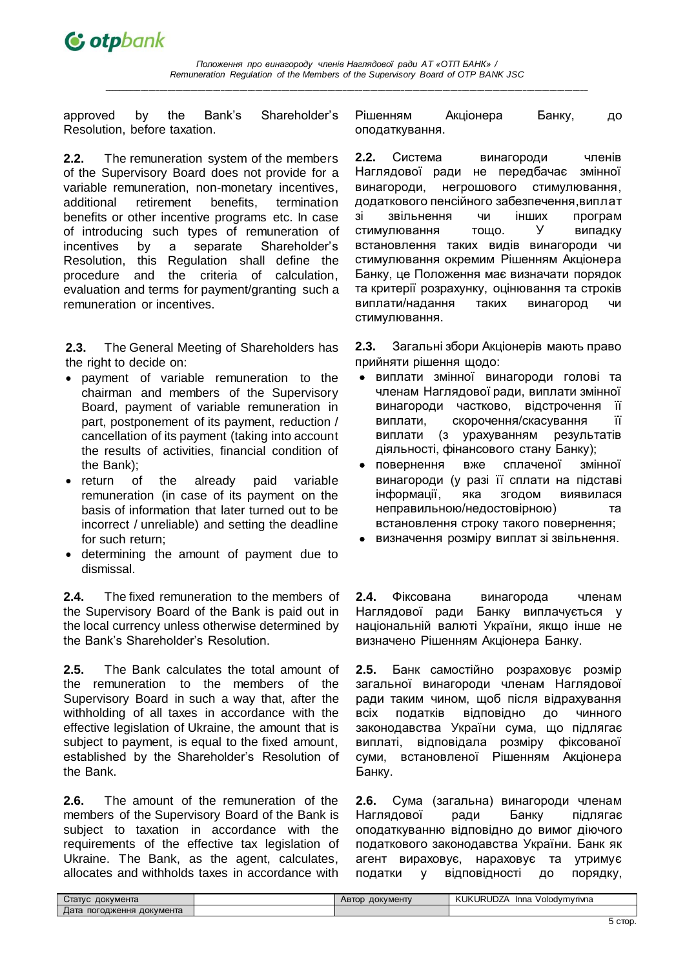approved by the Bank's Shareholder's Resolution, before taxation.

**2.2.** The remuneration system of the members of the Supervisory Board does not provide for a variable remuneration, non-monetary incentives, additional retirement benefits, termination benefits or other incentive programs etc. In case of introducing such types of remuneration of incentives by a separate Shareholder's Resolution, this Regulation shall define the procedure and the criteria of calculation, evaluation and terms for payment/granting such a remuneration or incentives.

**2.3.** The General Meeting of Shareholders has the right to decide on:

- payment of variable remuneration to the сhairman and members of the Supervisory Board, payment of variable remuneration in part, postponement of its payment, reduction / cancellation of its payment (taking into account the results of activities, financial condition of the Bank);
- return of the already paid variable remuneration (in case of its payment on the basis of information that later turned out to be incorrect / unreliable) and setting the deadline for such return;
- determining the amount of payment due to dismissal.

**2.4.** The fixed remuneration to the members of the Supervisory Board of the Bank is paid out in the local currency unless otherwise determined by the Bank's Shareholder's Resolution.

**2.5.** The Bank calculates the total amount of the remuneration to the members of the Supervisory Board in such a way that, after the withholding of all taxes in accordance with the effective legislation of Ukraine, the amount that is subject to payment, is equal to the fixed amount, established by the Shareholder's Resolution of the Bank.

**2.6.** The amount of the remuneration of the members of the Supervisory Board of the Bank is subject to taxation in accordance with the requirements of the effective tax legislation of Ukraine. The Bank, as the agent, calculates, allocates and withholds taxes in accordance with

Рішенням Акціонера Банку, до оподаткування.

**2.2.** Система винагороди членів Наглядової ради не передбачає змінної винагороди, негрошового стимулювання, додаткового пенсійного забезпечення,виплат зі звільнення чи інших програм стимулювання тощо. У випадку встановлення таких видів винагороди чи стимулювання окремим Рішенням Акціонера Банку, це Положення має визначати порядок та критерії розрахунку, оцінювання та строків виплати/надання таких винагород чи стимулювання.

**2.3.** Загальні збори Акціонерів мають право прийняти рішення щодо:

- виплати змінної винагороди голові та членам Наглядової ради, виплати змінної винагороди частково, відстрочення її виплати, скорочення/скасування її виплати (з урахуванням результатів діяльності, фінансового стану Банку);
- повернення вже сплаченої змінної винагороди (у разі її сплати на підставі інформації, яка згодом виявилася неправильною/недостовірною) та встановлення строку такого повернення;
- визначення розміру виплат зі звільнення.

**2.4.** Фіксована винагорода членам Наглядової ради Банку виплачується у національній валюті України, якщо інше не визначено Рішенням Акціонера Банку.

**2.5.** Банк самостійно розраховує розмір загальної винагороди членам Наглядової ради таким чином, щоб після відрахування всіх податків відповідно до чинного законодавства України сума, що підлягає виплаті, відповідала розміру фіксованої суми, встановленої Рішенням Акціонера Банку.

**2.6.** Сума (загальна) винагороди членам Наглядової ради Банку підлягає оподаткуванню відповідно до вимог діючого податкового законодавства України. Банк як агент вираховує, нараховує та утримує податки у відповідності до порядку,

| документа<br>ل∕πатус                                | ДОКУМЕНТУ<br>ABJOD | RUDZ/<br><b>KUKURI</b><br>Inna<br>∀olodvmvrivna |
|-----------------------------------------------------|--------------------|-------------------------------------------------|
| <b>The Court</b><br>Дата<br>документа<br>погодження |                    |                                                 |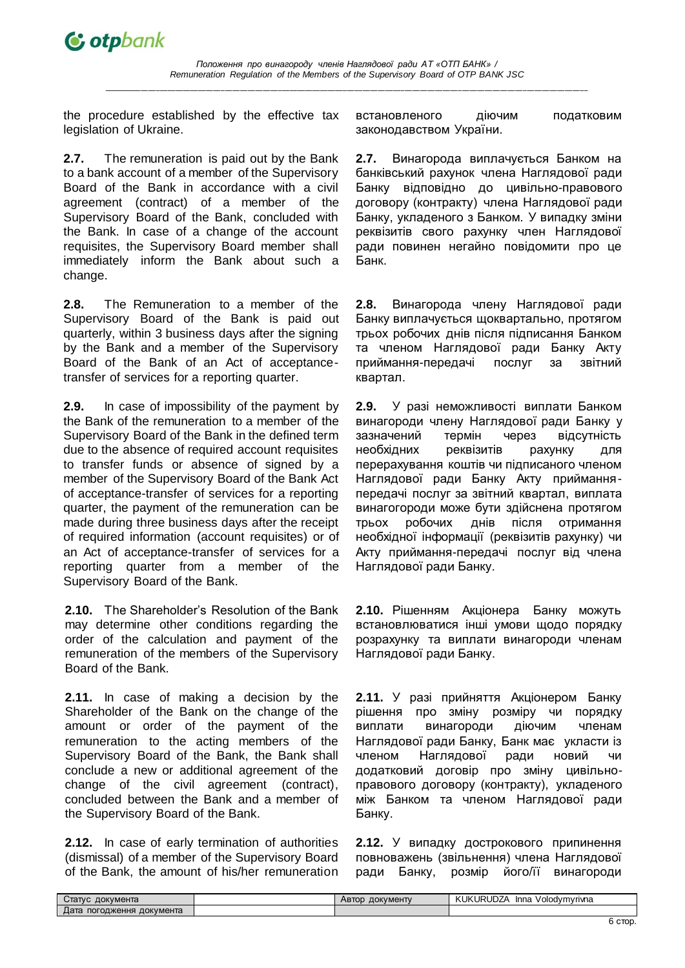the procedure established by the effective tax legislation of Ukraine.

**2.7.** The remuneration is paid out by the Bank to a bank account of a member of the Supervisory Board of the Bank in accordance with a civil agreement (contract) of a member of the Supervisory Board of the Bank, concluded with the Bank. In case of a change of the account requisites, the Supervisory Board member shall immediately inform the Bank about such a change.

**2.8.** The Remuneration to a member of the Supervisory Board of the Bank is paid out quarterly, within 3 business days after the signing by the Bank and a member of the Supervisory Board of the Bank of an Act of acceptancetransfer of services for a reporting quarter.

**2.9.** In case of impossibility of the payment by the Bank of the remuneration to a member of the Supervisory Board of the Bank in the defined term due to the absence of required account requisites to transfer funds or absence of signed by a member of the Supervisory Board of the Bank Act of acceptance-transfer of services for a reporting quarter, the payment of the remuneration can be made during three business days after the receipt of required information (account requisites) or of an Act of acceptance-transfer of services for a reporting quarter from a member of the Supervisory Board of the Bank.

**2.10.** The Shareholder's Resolution of the Bank may determine other conditions regarding the order of the calculation and payment of the remuneration of the members of the Supervisory Board of the Bank.

**2.11.** In case of making a decision by the Shareholder of the Bank on the change of the amount or order of the payment of the remuneration to the acting members of the Supervisory Board of the Bank, the Bank shall conclude a new or additional agreement of the change of the civil agreement (contract), concluded between the Bank and a member of the Supervisory Board of the Bank.

**2.12.** In case of early termination of authorities (dismissal) of a member of the Supervisory Board of the Bank, the amount of his/her remuneration встановленого діючим податковим законодавством України.

**2.7.** Винагорода виплачується Банком на банківський рахунок члена Наглядової ради Банку відповідно до цивільно-правового договору (контракту) члена Наглядової ради Банку, укладеного з Банком. У випадку зміни реквізитів свого рахунку член Наглядової ради повинен негайно повідомити про це Банк.

**2.8.** Винагорода члену Наглядової ради Банку виплачується щоквартально, протягом трьох робочих днів після підписання Банком та членом Наглядової ради Банку Акту приймання-передачі послуг за звітний квартал.

**2.9.** У разі неможливості виплати Банком винагороди члену Наглядової ради Банку у зазначений термін через відсутність необхідних реквізитів рахунку для перерахування коштів чи підписаного членом Наглядової ради Банку Акту прийманняпередачі послуг за звітний квартал, виплата винагогороди може бути здійснена протягом трьох робочих днів після отримання необхідної інформації (реквізитів рахунку) чи Акту приймання-передачі послуг від члена Наглядової ради Банку.

**2.10.** Рішенням Акціонера Банку можуть встановлюватися інші умови щодо порядку розрахунку та виплати винагороди членам Наглядової ради Банку.

**2.11.** У разі прийняття Акціонером Банку рішення про зміну розміру чи порядку виплати винагороди діючим членам Наглядової ради Банку, Банк має укласти із членом Наглядової ради новий чи додатковий договір про зміну цивільноправового договору (контракту), укладеного між Банком та членом Наглядової ради Банку.

**2.12.** У випадку дострокового припинення повноважень (звільнення) члена Наглядової ради Банку, розмір його/її винагороди

| Статус<br>документа             | <b>ДОКУМЕНТУ</b><br><b>ABIOD</b> | KUK<br><b>URUDZA</b><br>Inna<br>Volodymyrivna |
|---------------------------------|----------------------------------|-----------------------------------------------|
| документа<br>Дата<br>погодження |                                  |                                               |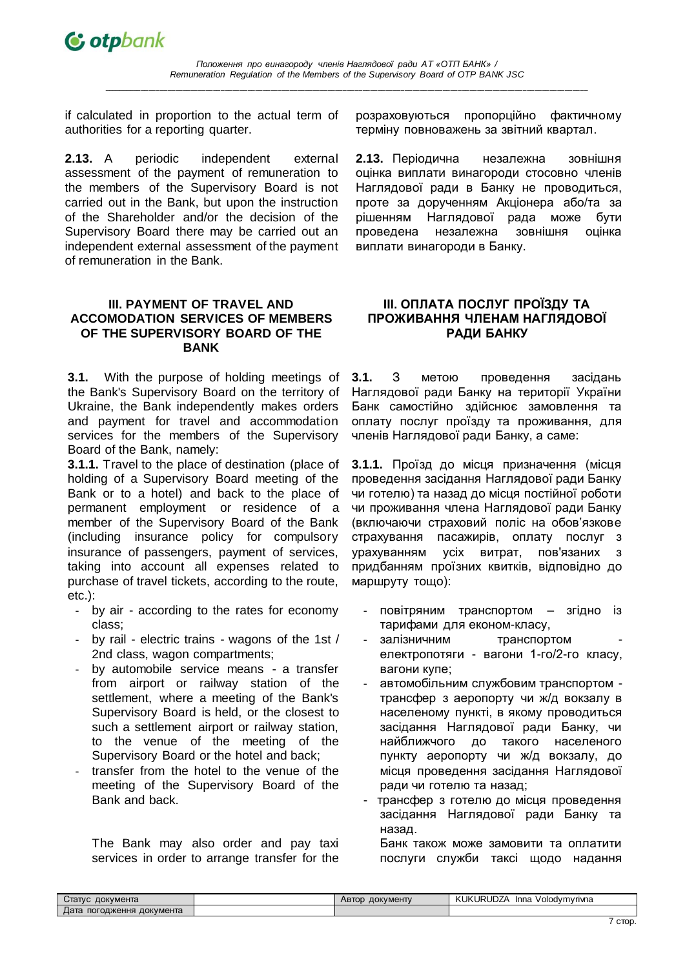if calculated in proportion to the actual term of authorities for a reporting quarter.

**2.13.** A periodic independent external assessment of the payment of remuneration to the members of the Supervisory Board is not carried out in the Bank, but upon the instruction of the Shareholder and/or the decision of the Supervisory Board there may be carried out an independent external assessment of the payment of remuneration in the Bank.

# **III. PAYMENT OF TRAVEL AND ACCOMODATION SERVICES OF MEMBERS OF THE SUPERVISORY BOARD OF THE BANK**

**3.1.** With the purpose of holding meetings of the Bank's Supervisory Board on the territory of Ukraine, the Bank independently makes orders and payment for travel and accommodation services for the members of the Supervisory Board of the Bank, namely:

**3.1.1.** Travel to the place of destination (place of holding of a Supervisory Board meeting of the Bank or to a hotel) and back to the place of permanent employment or residence of a member of the Supervisory Board of the Bank (including insurance policy for compulsory insurance of passengers, payment of services, taking into account all expenses related to purchase of travel tickets, according to the route, etc.):

- by air according to the rates for economy class;
- by rail electric trains wagons of the 1st / 2nd class, wagon compartments;
- by automobile service means a transfer from airport or railway station of the settlement, where a meeting of the Bank's Supervisory Board is held, or the closest to such a settlement airport or railway station, to the venue of the meeting of the Supervisory Board or the hotel and back;
- transfer from the hotel to the venue of the meeting of the Supervisory Board of the Bank and back.

The Bank may also order and pay taxi services in order to arrange transfer for the розраховуються пропорційно фактичному терміну повноважень за звітний квартал.

**2.13.** Періодична незалежна зовнішня оцінка виплати винагороди стосовно членів Наглядової ради в Банку не проводиться, проте за дорученням Акціонера або/та за рішенням Наглядової рада може бути проведена незалежна зовнішня оцінка виплати винагороди в Банку.

# **ІІІ. ОПЛАТА ПОСЛУГ ПРОЇЗДУ ТА ПРОЖИВАННЯ ЧЛЕНАМ НАГЛЯДОВОЇ РАДИ БАНКУ**

**3.1.** З метою проведення засідань Наглядової ради Банку на території України Банк самостійно здійснює замовлення та оплату послуг проїзду та проживання, для членів Наглядової ради Банку, а саме:

**3.1.1.** Проїзд до місця призначення (місця проведення засідання Наглядової ради Банку чи готелю) та назад до місця постійної роботи чи проживання члена Наглядової ради Банку (включаючи страховий поліс на обов'язкове страхування пасажирів, оплату послуг з урахуванням усіх витрат, пов'язаних з придбанням проїзних квитків, відповідно до маршруту тощо):

- повітряним транспортом згідно із тарифами для економ-класу,
- залізничним транспортом електропотяги - вагони 1-го/2-го класу, вагони купе;
- автомобільним службовим транспортом трансфер з аеропорту чи ж/д вокзалу в населеному пункті, в якому проводиться засідання Наглядової ради Банку, чи найближчого до такого населеного пункту аеропорту чи ж/д вокзалу, до місця проведення засідання Наглядової ради чи готелю та назад;
- трансфер з готелю до місця проведення засідання Наглядової ради Банку та назад.

Банк також може замовити та оплатити послуги служби таксі щодо надання

| Стат∨с<br>документа             | документу<br>Автор | <b>JURUDZA</b><br><b>KUK</b><br>Inna<br>Volodymyrivna |
|---------------------------------|--------------------|-------------------------------------------------------|
| документа<br>погодження<br>дата |                    |                                                       |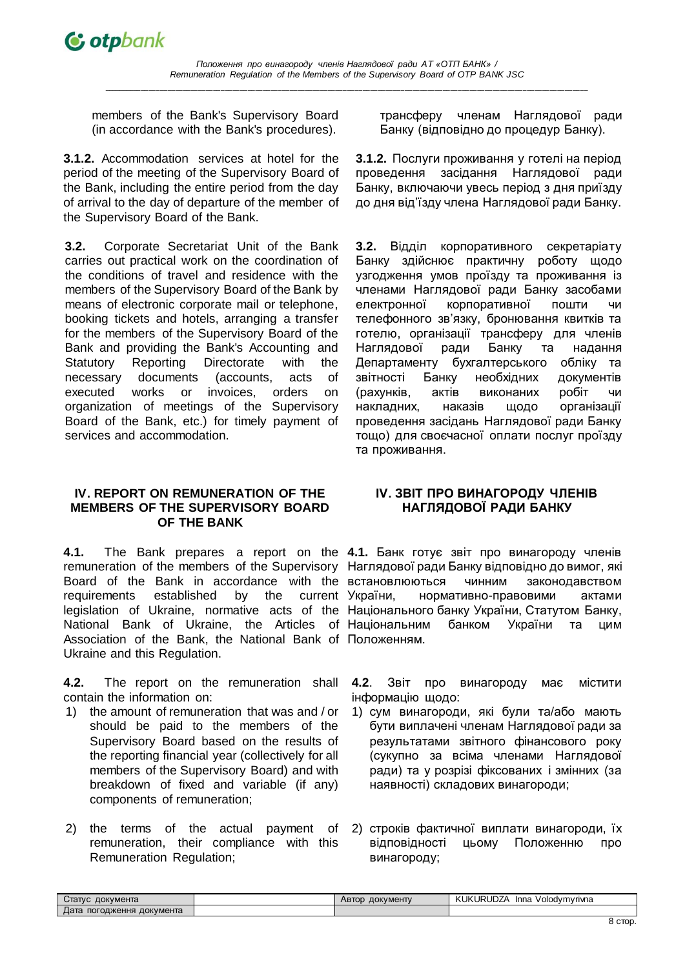*Положення про винагороду членів Наглядової ради АТ «ОТП БАНК» / Remuneration Regulation of the Members of the Supervisory Board of OTP BANK JSC*

**\_\_\_\_\_\_\_\_\_\_\_\_\_\_\_\_\_\_\_\_\_\_\_\_\_\_\_\_\_\_\_\_\_\_\_\_\_\_\_\_\_\_\_\_\_\_\_\_\_\_\_\_\_\_\_\_\_\_\_\_\_\_\_\_\_\_\_\_\_\_\_\_\_\_\_\_\_\_\_\_\_\_\_\_\_\_\_\_\_\_\_\_\_\_\_\_\_\_\_\_\_\_\_\_\_\_\_\_\_\_\_\_\_\_\_\_\_\_\_\_\_\_\_\_\_\_\_**

members of the Bank's Supervisory Board (in accordance with the Bank's procedures).

**3.1.2.** Accommodation services at hotel for the period of the meeting of the Supervisory Board of the Bank, including the entire period from the day of arrival to the day of departure of the member of the Supervisory Board of the Bank.

**3.2.** Corporate Secretariat Unit of the Bank carries out practical work on the coordination of the conditions of travel and residence with the members of the Supervisory Board of the Bank by means of electronic corporate mail or telephone, booking tickets and hotels, arranging a transfer for the members of the Supervisory Board of the Bank and providing the Bank's Accounting and Statutory Reporting Directorate with the necessary documents (accounts, acts of executed works or invoices, orders on organization of meetings of the Supervisory Board of the Bank, etc.) for timely payment of services and accommodation.

### **IV. REPORT ON REMUNERATION OF THE MEMBERS OF THE SUPERVISORY BOARD OF THE BANK**

**4.1.** The Bank prepares a report on the **4.1.** Банк готує звіт про винагороду членів remuneration of the members of the Supervisory Наглядової ради Банку відповідно до вимог, які Board of the Bank in accordance with the встановлюються чинним законодавством requirements established by the current legislation of Ukraine, normative acts of the Національного банку України, Статутом Банку, National Bank of Ukraine, the Articles of Національним банком України та цим Association of the Bank, the National Bank of Положенням. Ukraine and this Regulation.

**4.2.** The report on the remuneration shall contain the information on:

- 1) the amount of remuneration that was and / or should be paid to the members of the Supervisory Board based on the results of the reporting financial year (collectively for all members of the Supervisory Board) and with breakdown of fixed and variable (if any) components of remuneration;
- 2) the terms of the actual payment of remuneration, their compliance with this Remuneration Regulation;

трансферу членам Наглядової ради Банку (відповідно до процедур Банку).

**3.1.2.** Послуги проживання у готелі на період проведення засідання Наглядової ради Банку, включаючи увесь період з дня приїзду до дня від'їзду члена Наглядової ради Банку.

**3.2.** Відділ корпоративного секретаріату Банку здійснює практичну роботу щодо узгодження умов проїзду та проживання із членами Наглядової ради Банку засобами електронної корпоративної пошти чи телефонного зв'язку, бронювання квитків та готелю, організації трансферу для членів Наглядової ради Банку та надання Департаменту бухгалтерського обліку та звітності Банку необхідних документів (рахунків, актів виконаних робіт чи накладних, наказів щодо організації проведення засідань Наглядової ради Банку тощо) для своєчасної оплати послуг проїзду та проживання.

# **ІV. ЗВІТ ПРО ВИНАГОРОДУ ЧЛЕНІВ НАГЛЯДОВОЇ РАДИ БАНКУ**

нормативно-правовими актами

**4.2**. Звіт про винагороду має містити інформацію щодо:

- 1) сум винагороди, які були та/або мають бути виплачені членам Наглядової ради за результатами звітного фінансового року (сукупно за всіма членами Наглядової ради) та у розрізі фіксованих і змінних (за наявності) складових винагороди;
- 2) строків фактичної виплати винагороди, їх відповідності цьому Положенню про винагороду;

| لC⊤aπvc<br>документа            | документу<br>ABTOD | KUK.<br>וסו<br>Volodvmvrivna<br>Inna<br>JRUDZA |
|---------------------------------|--------------------|------------------------------------------------|
| Дата<br>документа<br>погодження |                    |                                                |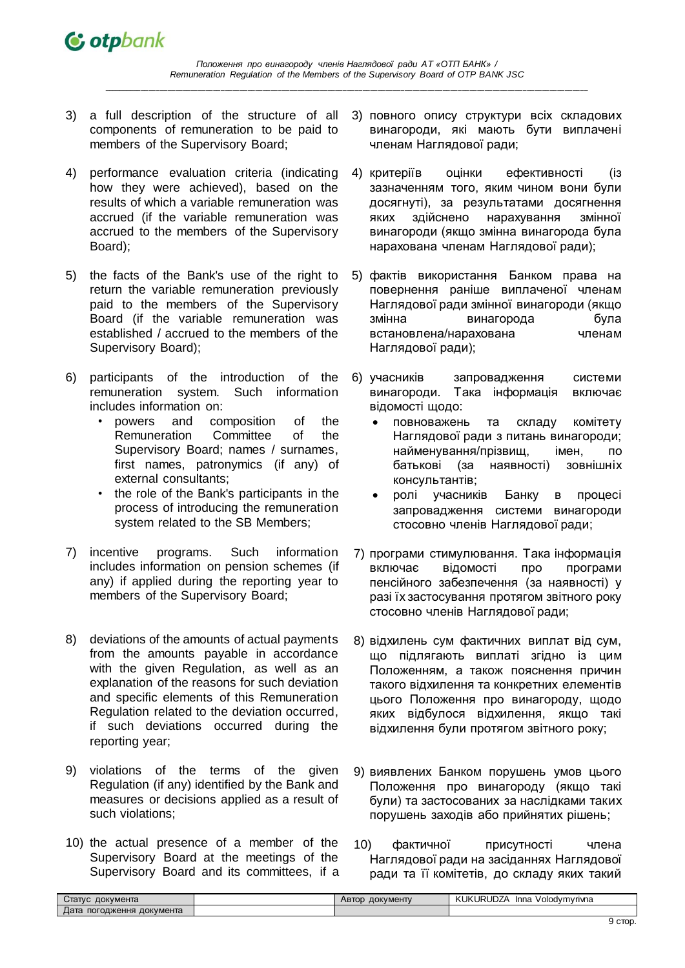

- 3) a full description of the structure of all components of remuneration to be paid to members of the Supervisory Board;
- 4) performance evaluation criteria (indicating how they were achieved), based on the results of which a variable remuneration was accrued (if the variable remuneration was accrued to the members of the Supervisory Board);
- 5) the facts of the Bank's use of the right to return the variable remuneration previously paid to the members of the Supervisory Board (if the variable remuneration was established / accrued to the members of the Supervisory Board);
- 6) participants of the introduction of the remuneration system. Such information includes information on:
	- powers and composition of the Remuneration Committee of the Supervisory Board; names / surnames, first names, patronymics (if any) of external consultants;
	- the role of the Bank's participants in the process of introducing the remuneration system related to the SB Members;
- 7) incentive programs. Such information includes information on pension schemes (if any) if applied during the reporting year to members of the Supervisory Board;
- 8) deviations of the amounts of actual payments from the amounts payable in accordance with the given Regulation, as well as an explanation of the reasons for such deviation and specific elements of this Remuneration Regulation related to the deviation occurred, if such deviations occurred during the reporting year;
- 9) violations of the terms of the given Regulation (if any) identified by the Bank and measures or decisions applied as a result of such violations;
- 10) the actual presence of a member of the Supervisory Board at the meetings of the Supervisory Board and its committees, if a
- 3) повного опису структури всіх складових винагороди, які мають бути виплачені членам Наглядової ради;
- 4) критеріїв оцінки ефективності (із зазначенням того, яким чином вони були досягнуті), за результатами досягнення яких здійснено нарахування змінної винагороди (якщо змінна винагорода була нарахована членам Наглядової ради);
- 5) фактів використання Банком права на повернення раніше виплаченої членам Наглядової ради змінної винагороди (якщо змінна винагорода була встановлена/нарахована членам Наглядової ради);
- 6) учасників запровадження системи винагороди. Така інформація включає відомості щодо:
	- повноважень та складу комітету Наглядової ради з питань винагороди; найменування/прізвищ, імен, по батькові (за наявності) зовнішніх консультантів;
	- ролі учасників Банку в процесі запровадження системи винагороди стосовно членів Наглядової ради;
- 7) програми стимулювання. Така інформація включає відомості про програми пенсійного забезпечення (за наявності) у разі їх застосування протягом звітного року стосовно членів Наглядової ради;
- 8) відхилень сум фактичних виплат від сум, що підлягають виплаті згідно із цим Положенням, а також пояснення причин такого відхилення та конкретних елементів цього Положення про винагороду, щодо яких відбулося відхилення, якщо такі відхилення були протягом звітного року;
- 9) виявлених Банком порушень умов цього Положення про винагороду (якщо такі були) та застосованих за наслідками таких порушень заходів або прийнятих рішень;
- 10) фактичної присутності члена Наглядової ради на засіданнях Наглядової ради та її комітетів, до складу яких такий

| -<br>Дата<br>документа<br>погодження | документа<br>$C$ татус | документу<br>Автор | <b>JURUDZA</b><br>KUK<br>Volodymyriyna<br>Inna |
|--------------------------------------|------------------------|--------------------|------------------------------------------------|
|                                      |                        |                    |                                                |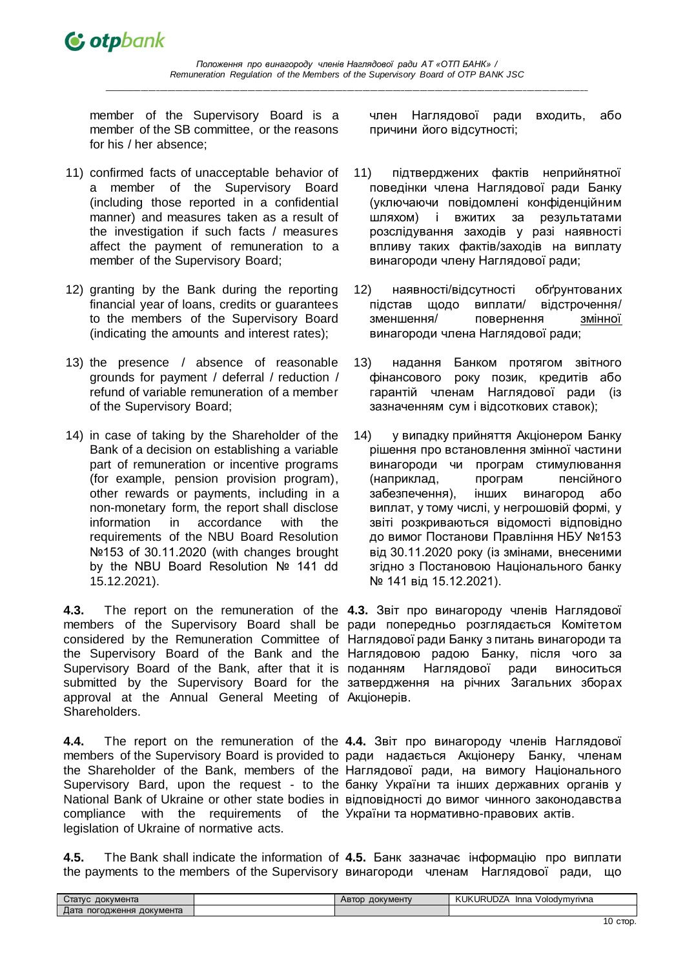

member of the Supervisory Board is a member of the SB committee, or the reasons for his / her absence;

- 11) confirmed facts of unacceptable behavior of a member of the Supervisory Board (including those reported in a confidential manner) and measures taken as a result of the investigation if such facts / measures affect the payment of remuneration to a member of the Supervisory Board;
- 12) granting by the Bank during the reporting financial year of loans, credits or guarantees to the members of the Supervisory Board (indicating the amounts and interest rates);
- 13) the presence / absence of reasonable grounds for payment / deferral / reduction / refund of variable remuneration of a member of the Supervisory Board;
- 14) in case of taking by the Shareholder of the Bank of a decision on establishing a variable part of remuneration or incentive programs (for example, pension provision program), other rewards or payments, including in a non-monetary form, the report shall disclose information in accordance with the requirements of the NBU Board Resolution №153 of 30.11.2020 (with changes brought by the NBU Board Resolution № 141 dd 15.12.2021).

**4.3.** The report on the remuneration of the **4.3.** Звіт про винагороду членів Наглядової members of the Supervisory Board shall be ради попередньо розглядається Комітетом considered by the Remuneration Committee of Наглядової ради Банку з питань винагороди та the Supervisory Board of the Bank and the Наглядовою радою Банку, після чого за Supervisory Board of the Bank, after that it is submitted by the Supervisory Board for the затвердження на річних Загальних зборах approval at the Annual General Meeting of Акціонерів. Shareholders.

**4.4.** The report on the remuneration of the **4.4.** Звіт про винагороду членів Наглядової members of the Supervisory Board is provided to ради надається Акціонеру Банку, членам the Shareholder of the Bank, members of the Наглядової ради, на вимогу Національного Supervisory Bard, upon the request - to the банку України та інших державних органів у National Bank of Ukraine or other state bodies in відповідності до вимог чинного законодавства compliance with the requirements of the України та нормативно-правових актів. legislation of Ukraine of normative acts.

член Наглядової ради входить, або причини його відсутності;

- 11) підтверджених фактів неприйнятної поведінки члена Наглядової ради Банку (уключаючи повідомлені конфіденційним шляхом) і вжитих за результатами розслідування заходів у разі наявності впливу таких фактів/заходів на виплату винагороди члену Наглядової ради;
- 12) наявності/відсутності обґрунтованих підстав щодо виплати/ відстрочення/ зменшення/ повернення змінної винагороди члена Наглядової ради;
- 13) надання Банком протягом звітного фінансового року позик, кредитів або гарантій членам Наглядової ради (із зазначенням сум і відсоткових ставок);
- 14) у випадку прийняття Акціонером Банку рішення про встановлення змінної частини винагороди чи програм стимулювання (наприклад, програм пенсійного забезпечення), інших винагород або виплат, у тому числі, у негрошовій формі, у звіті розкриваються відомості відповідно до вимог Постанови Правління НБУ №153 від 30.11.2020 року (із змінами, внесеними згідно з Постановою Національного банку № 141 від 15.12.2021).

Наглядової ради виноситься

**4.5.** The Bank shall indicate the information of **4.5.** Банк зазначає інформацію про виплати the payments to the members of the Supervisory винагороди членам Наглядової ради, що

| документа<br>статус             | <b>ДОКУМЕНТУ</b><br><b>ABIOD</b> | $\sim$ $\sim$ $\sim$ $\sim$ $\sim$ $\sim$<br>KUK <sup>I</sup><br>.JRUDZA ∶<br>Volodvmvrivna<br>Inna |
|---------------------------------|----------------------------------|-----------------------------------------------------------------------------------------------------|
| документа<br>⊥ата<br>погодження |                                  |                                                                                                     |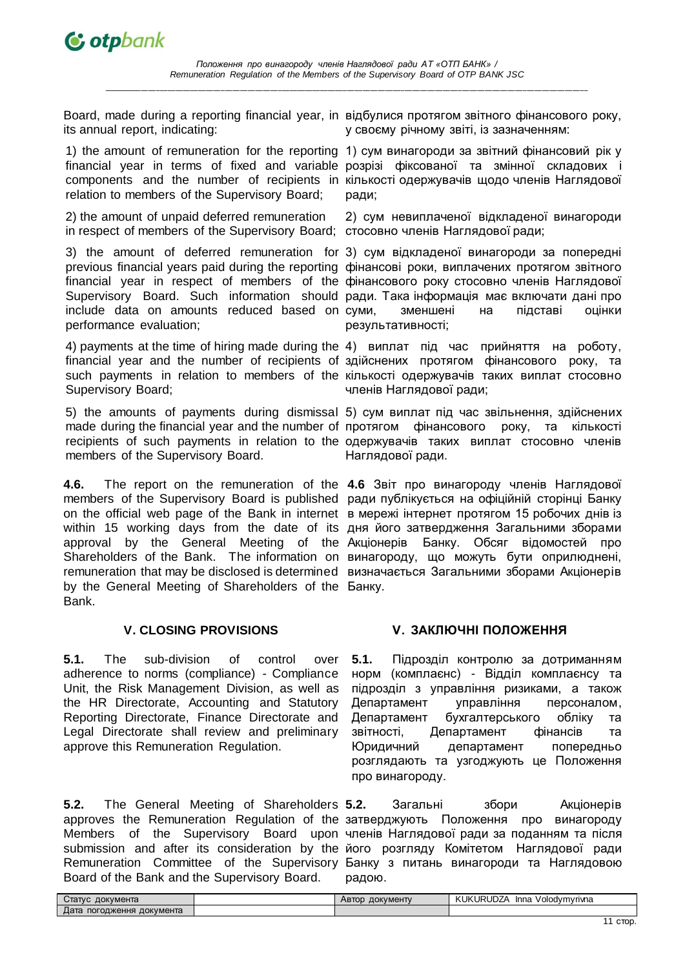

Board, made during a reporting financial year, in відбулися протягом звітного фінансового року, its annual report, indicating:

1) the amount of remuneration for the reporting 1) сум винагороди за звітний фінансовий рік у financial year in terms of fixed and variable розрізі фіксованої та змінної складових і components and the number of recipients in кількості одержувачів щодо членів Наглядової relation to members of the Supervisory Board;

2) the amount of unpaid deferred remuneration in respect of members of the Supervisory Board; стосовно членів Наглядової ради;

3) the amount of deferred remuneration for 3) сум відкладеної винагороди за попередні previous financial years paid during the reporting фінансові роки, виплачених протягом звітного financial year in respect of members of the фінансового року стосовно членів Наглядової Supervisory Board. Such information should ради. Така інформація має включати дані про include data on amounts reduced based on performance evaluation;

4) payments at the time of hiring made during the 4) виплат під час прийняття на роботу, financial year and the number of recipients of здійснених протягом фінансового року, та such payments in relation to members of the кількості одержувачів таких виплат стосовно Supervisory Board;

members of the Supervisory Board.

**4.6.** The report on the remuneration of the **4.6** Звіт про винагороду членів Наглядової members of the Supervisory Board is published ради публікується на офіційній сторінці Банку on the official web page of the Bank in internet в мережі інтернет протягом 15 робочих днів із within 15 working days from the date of its дня його затвердження Загальними зборами approval by the General Meeting of the Акціонерів Банку. Обсяг відомостей про Shareholders of the Bank. The information on винагороду, що можуть бути оприлюднені, remuneration that may be disclosed is determined визначається Загальними зборами Акціонерів by the General Meeting of Shareholders of the Банку. Bank.

**5.1.** The sub-division of control over adherence to norms (compliance) - Compliance Unit, the Risk Management Division, as well as the HR Directorate, Accounting and Statutory Reporting Directorate, Finance Directorate and Legal Directorate shall review and preliminary approve this Remuneration Regulation.

**5.2.** The General Meeting of Shareholders approves the Remuneration Regulation of the затверджують Положення про винагороду Members of the Supervisory Board upon членів Наглядової ради за поданням та після submission and after its consideration by the його розгляду Комітетом Наглядової ради Remuneration Committee of the Supervisory Банку з питань винагороди та Наглядовою Board of the Bank and the Supervisory Board.

у своєму річному звіті, із зазначенням:

ради;

2) сум невиплаченої відкладеної винагороди

зменшені на підставі оцінки результативності;

членів Наглядової ради;

5) the amounts of payments during dismissal 5) сум виплат під час звільнення, здійснених made during the financial year and the number of протягом фінансового року, та кількості recipients of such payments in relation to the одержувачів таких виплат стосовно членів Наглядової ради.

# **V. CLOSING PROVISIONS V. ЗАКЛЮЧНІ ПОЛОЖЕННЯ**

**5.1.** Підрозділ контролю за дотриманням норм (комплаєнс) - Відділ комплаєнсу та підрозділ з управління ризиками, а також Департамент управління персоналом, Департамент бухгалтерського обліку та звітності, Департамент фінансів та Юридичний департамент попередньо розглядають та узгоджують це Положення про винагороду.

**5.2.** Загальні збори Акціонерів радою.

| документа<br>Статус             | документу<br>ABTOD | <b>KUKURUDZA</b><br>/olodymyriyna<br>Inna |
|---------------------------------|--------------------|-------------------------------------------|
| документа<br>погодження<br>цата |                    |                                           |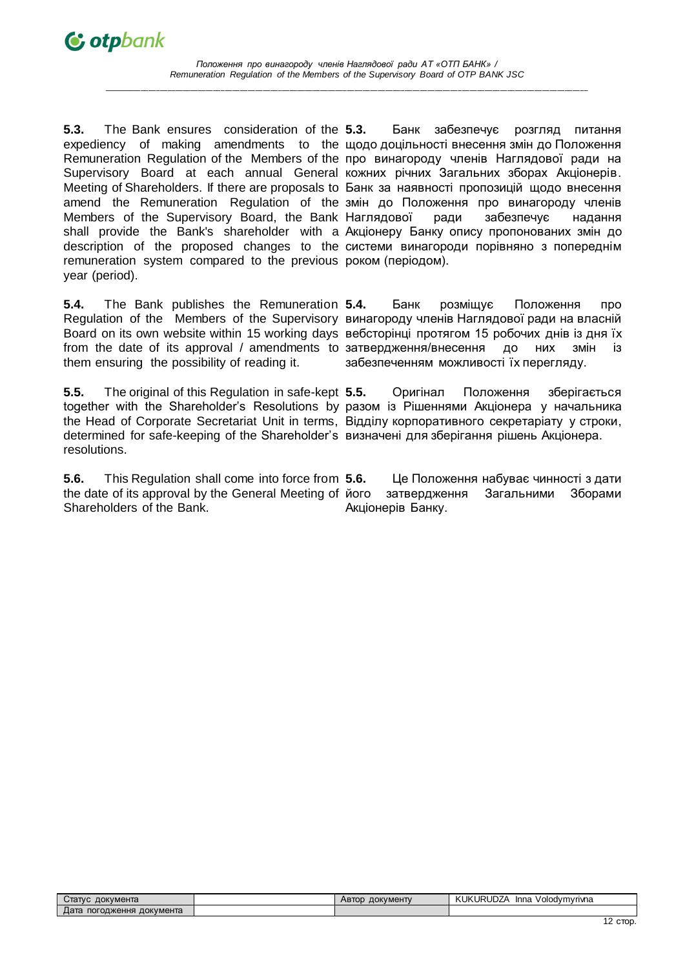*Положення про винагороду членів Наглядової ради АТ «ОТП БАНК» / Remuneration Regulation of the Members of the Supervisory Board of OTP BANK JSC*

**\_\_\_\_\_\_\_\_\_\_\_\_\_\_\_\_\_\_\_\_\_\_\_\_\_\_\_\_\_\_\_\_\_\_\_\_\_\_\_\_\_\_\_\_\_\_\_\_\_\_\_\_\_\_\_\_\_\_\_\_\_\_\_\_\_\_\_\_\_\_\_\_\_\_\_\_\_\_\_\_\_\_\_\_\_\_\_\_\_\_\_\_\_\_\_\_\_\_\_\_\_\_\_\_\_\_\_\_\_\_\_\_\_\_\_\_\_\_\_\_\_\_\_\_\_\_\_**

**5.3.** The Bank ensures consideration of the expediency of making amendments to the щодо доцільності внесення змін до Положення Remuneration Regulation of the Members of the про винагороду членів Наглядової ради на Supervisory Board at each annual General кожних річних Загальних зборах Акціонерів. Meeting of Shareholders. If there are proposals to Банк за наявності пропозицій щодо внесення amend the Remuneration Regulation of the змін до Положення про винагороду членів Members of the Supervisory Board, the Bank Наглядової ради забезпечує надання shall provide the Bank's shareholder with a Акціонеру Банку опису пропонованих змін до description of the proposed changes to the системи винагороди порівняно з попереднім remuneration system compared to the previous роком (періодом). year (period).

**5.4.** The Bank publishes the Remuneration Regulation of the Members of the Supervisory винагороду членів Наглядової ради на власній Board on its own website within 15 working days вебсторінці протягом 15 робочих днів із дня їх from the date of its approval / amendments to затвердження/внесення до них змін із them ensuring the possibility of reading it.

**5.5.** The original of this Regulation in safe-kept together with the Shareholder's Resolutions by разом із Рішеннями Акціонера у начальника the Head of Corporate Secretariat Unit in terms, Відділу корпоративного секретаріату у строки, determined for safe-keeping of the Shareholder's визначені для зберігання рішень Акціонера. resolutions.

**5.6.** This Regulation shall come into force from **5.6.** the date of its approval by the General Meeting of Shareholders of the Bank.

**5.3.** Банк забезпечує розгляд питання

**5.4.** Банк розміщує Положення про забезпеченням можливості їх перегляду.

**5.5.** Оригінал Положення зберігається

**5.6.** Це Положення набуває чинності з дати затвердження Загальними Зборами Акціонерів Банку.

| документа<br>Стат∨с             | <b>ДОКУМЕНТУ</b><br>ABTOD | .≺UDZ^<br><b>.UKURL</b><br>Volodvmvrivna<br>Inna |
|---------------------------------|---------------------------|--------------------------------------------------|
| документа<br>погодження<br>⊥ата |                           |                                                  |